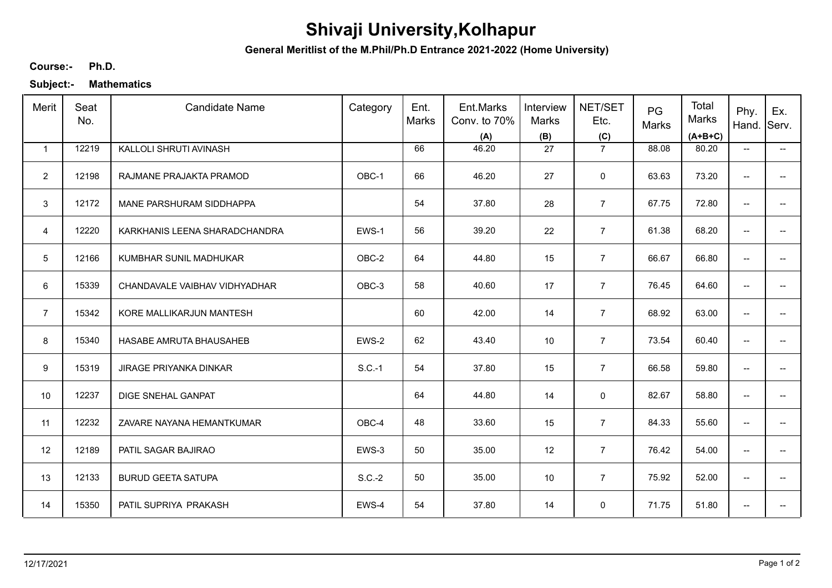# **Shivaji University,Kolhapur**

**General Meritlist of the M.Phil/Ph.D Entrance 2021-2022 (Home University)**

#### **Ph.D. Course:-**

**Subject:- Mathematics**

| Merit          | Seat<br>No. | <b>Candidate Name</b>         | Category | Ent.<br>Marks | Ent.Marks<br>Conv. to 70%<br>(A) | Interview<br>Marks<br>(B) | NET/SET<br>Etc.<br>(C) | PG<br>Marks | Total<br><b>Marks</b><br>$(A+B+C)$ | Phy.<br>Hand.                       | Ex.<br>Serv.             |
|----------------|-------------|-------------------------------|----------|---------------|----------------------------------|---------------------------|------------------------|-------------|------------------------------------|-------------------------------------|--------------------------|
| $\mathbf{1}$   | 12219       | KALLOLI SHRUTI AVINASH        |          | 66            | 46.20                            | 27                        | $\overline{7}$         | 88.08       | 80.20                              | $\overline{\phantom{a}}$            | $\overline{\phantom{a}}$ |
| $\overline{2}$ | 12198       | RAJMANE PRAJAKTA PRAMOD       | OBC-1    | 66            | 46.20                            | 27                        | $\mathbf 0$            | 63.63       | 73.20                              | $\overline{\phantom{a}}$            |                          |
| 3              | 12172       | MANE PARSHURAM SIDDHAPPA      |          | 54            | 37.80                            | 28                        | $\overline{7}$         | 67.75       | 72.80                              | $\overline{\phantom{a}}$            | $\overline{a}$           |
| $\overline{4}$ | 12220       | KARKHANIS LEENA SHARADCHANDRA | EWS-1    | 56            | 39.20                            | 22                        | $\overline{7}$         | 61.38       | 68.20                              | $\overline{\phantom{a}}$            | $\overline{a}$           |
| 5              | 12166       | KUMBHAR SUNIL MADHUKAR        | OBC-2    | 64            | 44.80                            | 15                        | $\overline{7}$         | 66.67       | 66.80                              | $\overline{\phantom{a}}$            | $\overline{\phantom{a}}$ |
| 6              | 15339       | CHANDAVALE VAIBHAV VIDHYADHAR | OBC-3    | 58            | 40.60                            | 17                        | $\overline{7}$         | 76.45       | 64.60                              | $\overline{\phantom{m}}$            | $\overline{\phantom{a}}$ |
| $\overline{7}$ | 15342       | KORE MALLIKARJUN MANTESH      |          | 60            | 42.00                            | 14                        | $\overline{7}$         | 68.92       | 63.00                              | $\overline{\phantom{a}}$            |                          |
| 8              | 15340       | HASABE AMRUTA BHAUSAHEB       | EWS-2    | 62            | 43.40                            | 10                        | $\overline{7}$         | 73.54       | 60.40                              | $\overline{\phantom{a}}$            |                          |
| 9              | 15319       | <b>JIRAGE PRIYANKA DINKAR</b> | $S.C.-1$ | 54            | 37.80                            | 15                        | $\overline{7}$         | 66.58       | 59.80                              | --                                  |                          |
| 10             | 12237       | DIGE SNEHAL GANPAT            |          | 64            | 44.80                            | 14                        | $\mathsf 0$            | 82.67       | 58.80                              | --                                  |                          |
| 11             | 12232       | ZAVARE NAYANA HEMANTKUMAR     | OBC-4    | 48            | 33.60                            | 15                        | $\overline{7}$         | 84.33       | 55.60                              | $\overline{\phantom{a}}$            | $\overline{\phantom{a}}$ |
| 12             | 12189       | PATIL SAGAR BAJIRAO           | EWS-3    | 50            | 35.00                            | 12                        | $\overline{7}$         | 76.42       | 54.00                              | $\overline{\phantom{m}}$            | --                       |
| 13             | 12133       | <b>BURUD GEETA SATUPA</b>     | $S.C.-2$ | 50            | 35.00                            | 10                        | $\overline{7}$         | 75.92       | 52.00                              | $\overline{\phantom{a}}$            | $\overline{\phantom{a}}$ |
| 14             | 15350       | PATIL SUPRIYA PRAKASH         | EWS-4    | 54            | 37.80                            | 14                        | 0                      | 71.75       | 51.80                              | $\hspace{0.05cm}$ $\hspace{0.05cm}$ | --                       |